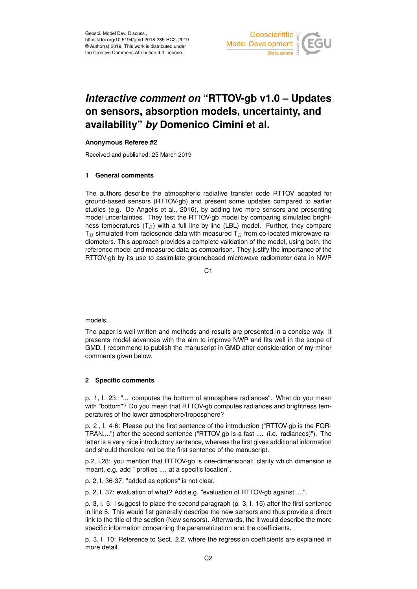

# *Interactive comment on* **"RTTOV-gb v1.0 – Updates on sensors, absorption models, uncertainty, and availability"** *by* **Domenico Cimini et al.**

# **Anonymous Referee #2**

Received and published: 25 March 2019

# **1 General comments**

The authors describe the atmospheric radiative transfer code RTTOV adapted for ground-based sensors (RTTOV-gb) and present some updates compared to earlier studies (e.g. De Angelis et al., 2016), by adding two more sensors and presenting model uncertainties. They test the RTTOV-gb model by comparing simulated brightness temperatures  $(T_B)$  with a full line-by-line (LBL) model. Further, they compare  $T_B$  simulated from radiosonde data with measured  $T_B$  from co-located microwave radiometers. This approach provides a complete vaildation of the model, using both, the reference model and measured data as comparison. They justify the importance of the RTTOV-gb by its use to assimilate groundbased microwave radiometer data in NWP

 $C<sub>1</sub>$ 

models.

The paper is well written and methods and results are presented in a concise way. It presents model advances with the aim to improve NWP and fits well in the scope of GMD. I recommend to publish the manuscript in GMD after consideration of my minor comments given below.

# **2 Specific comments**

p. 1, l. 23: "... computes the bottom of atmosphere radiances". What do you mean with "bottom"? Do you mean that RTTOV-gb computes radiances and brightness temperatures of the lower atmosphere/troposphere?

p. 2 , l. 4-6: Please put the first sentence of the introduction ("RTTOV-gb is the FOR-TRAN....") after the second sentence ("RTTOV-gb is a fast .... (i.e. radiances)"). The latter is a very nice introductory sentence, whereas the first gives additional information and should therefore not be the first sentence of the manuscript.

p.2, l.28: you mention that RTTOV-gb is one-dimensional: clarify which dimension is meant, e.g. add " profiles .... at a specific location".

p. 2, l. 36-37: "added as options" is not clear.

p. 2, l. 37: evaluation of what? Add e.g. "evaluation of RTTOV-gb against ....".

p. 3, l. 5: I suggest to place the second paragraph (p. 3, l. 15) after the first sentence in line 5. This would fist generally describe the new sensors and thus provide a direct link to the title of the section (New sensors). Afterwards, the it would describe the more specific information concerning the parametrization and the coefficients.

p. 3, l. 10: Reference to Sect. 2.2, where the regression coefficients are explained in more detail.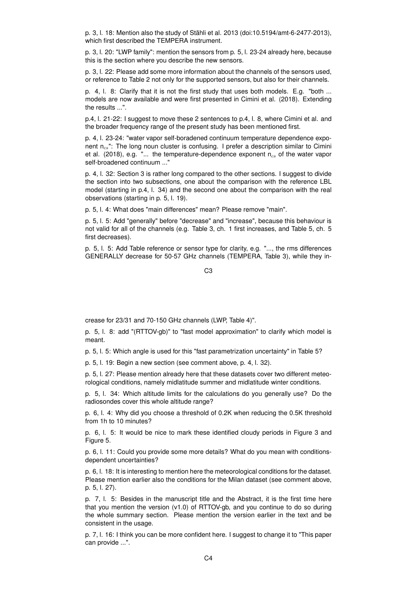p. 3, l. 18: Mention also the study of Stähli et al. 2013 (doi:10.5194/amt-6-2477-2013), which first described the TEMPERA instrument.

p. 3, l. 20: "LWP family": mention the sensors from p. 5, l. 23-24 already here, because this is the section where you describe the new sensors.

p. 3, l. 22: Please add some more information about the channels of the sensors used, or reference to Table 2 not only for the supported sensors, but also for their channels.

p. 4, l. 8: Clarify that it is not the first study that uses both models. E.g. "both ... models are now available and were first presented in Cimini et al. (2018). Extending the results ...".

p.4, l. 21-22: I suggest to move these 2 sentences to p.4, l. 8, where Cimini et al. and the broader frequency range of the present study has been mentioned first.

p. 4, l. 23-24: "water vapor self-boradened continuum temperature dependence exponent n<sub>cs</sub>": The long noun cluster is confusing. I prefer a description similar to Cimini et al. (2018), e.g. " $\ldots$  the temperature-dependence exponent  $n_{cs}$  of the water vapor self-broadened continuum ..."

p. 4, l. 32: Section 3 is rather long compared to the other sections. I suggest to divide the section into two subsections, one about the comparison with the reference LBL model (starting in p.4, l. 34) and the second one about the comparison with the real observations (starting in p. 5, l. 19).

p. 5, l. 4: What does "main differences" mean? Please remove "main".

p. 5, l. 5: Add "generally" before "decrease" and "increase", because this behaviour is not valid for all of the channels (e.g. Table 3, ch. 1 first increases, and Table 5, ch. 5 first decreases).

p. 5, l. 5: Add Table reference or sensor type for clarity, e.g. "..., the rms differences GENERALLY decrease for 50-57 GHz channels (TEMPERA, Table 3), while they in-

C3

crease for 23/31 and 70-150 GHz channels (LWP, Table 4)".

p. 5, l. 8: add "(RTTOV-gb)" to "fast model approximation" to clarify which model is meant.

p. 5, l. 5: Which angle is used for this "fast parametrization uncertainty" in Table 5?

p. 5, l. 19: Begin a new section (see comment above, p. 4, l. 32).

p. 5, l. 27: Please mention already here that these datasets cover two different meteorological conditions, namely midlatitude summer and midlatitude winter conditions.

p. 5, l. 34: Which altitude limits for the calculations do you generally use? Do the radiosondes cover this whole altitude range?

p. 6, l. 4: Why did you choose a threshold of 0.2K when reducing the 0.5K threshold from 1h to 10 minutes?

p. 6, l. 5: It would be nice to mark these identified cloudy periods in Figure 3 and Figure 5.

p. 6, l. 11: Could you provide some more details? What do you mean with conditionsdependent uncertainties?

p. 6, l. 18: It is interesting to mention here the meteorological conditions for the dataset. Please mention earlier also the conditions for the Milan dataset (see comment above, p. 5, l. 27).

p. 7, l. 5: Besides in the manuscript title and the Abstract, it is the first time here that you mention the version (v1.0) of RTTOV-gb, and you continue to do so during the whole summary section. Please mention the version earlier in the text and be consistent in the usage.

p. 7, l. 16: I think you can be more confident here. I suggest to change it to "This paper can provide ...".